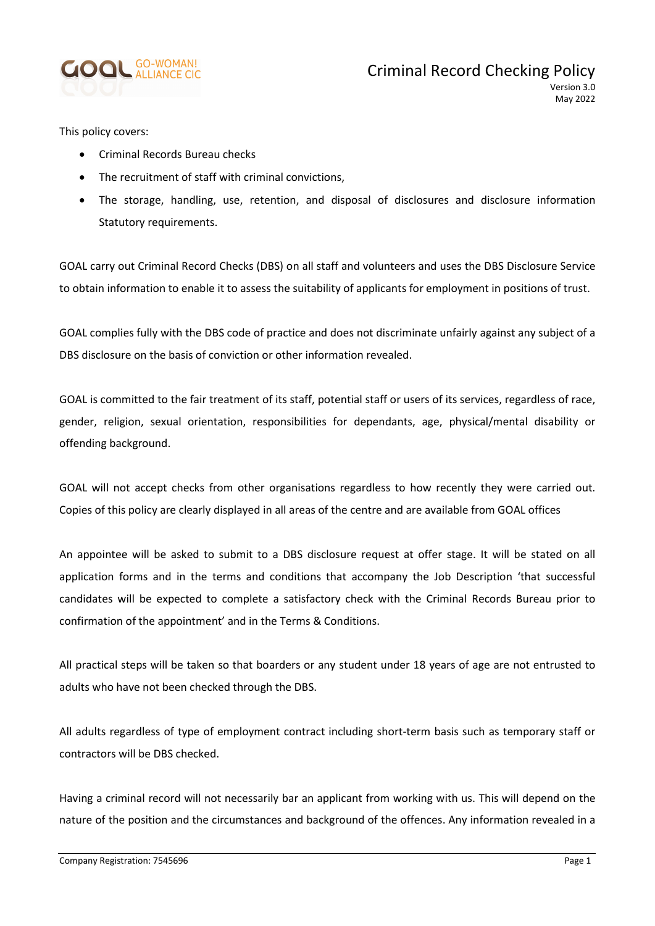

May 2022

This policy covers:

- Criminal Records Bureau checks
- The recruitment of staff with criminal convictions,
- The storage, handling, use, retention, and disposal of disclosures and disclosure information Statutory requirements.

GOAL carry out Criminal Record Checks (DBS) on all staff and volunteers and uses the DBS Disclosure Service to obtain information to enable it to assess the suitability of applicants for employment in positions of trust.

GOAL complies fully with the DBS code of practice and does not discriminate unfairly against any subject of a DBS disclosure on the basis of conviction or other information revealed.

GOAL is committed to the fair treatment of its staff, potential staff or users of its services, regardless of race, gender, religion, sexual orientation, responsibilities for dependants, age, physical/mental disability or offending background.

GOAL will not accept checks from other organisations regardless to how recently they were carried out. Copies of this policy are clearly displayed in all areas of the centre and are available from GOAL offices

An appointee will be asked to submit to a DBS disclosure request at offer stage. It will be stated on all application forms and in the terms and conditions that accompany the Job Description 'that successful candidates will be expected to complete a satisfactory check with the Criminal Records Bureau prior to confirmation of the appointment' and in the Terms & Conditions.

All practical steps will be taken so that boarders or any student under 18 years of age are not entrusted to adults who have not been checked through the DBS.

All adults regardless of type of employment contract including short-term basis such as temporary staff or contractors will be DBS checked.

Having a criminal record will not necessarily bar an applicant from working with us. This will depend on the nature of the position and the circumstances and background of the offences. Any information revealed in a